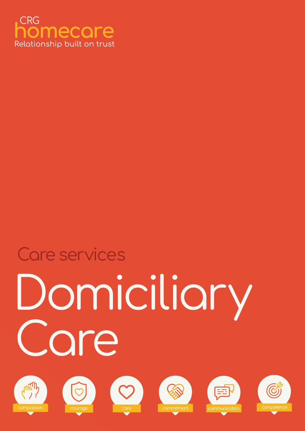

# omiciliary<br>ore Care services











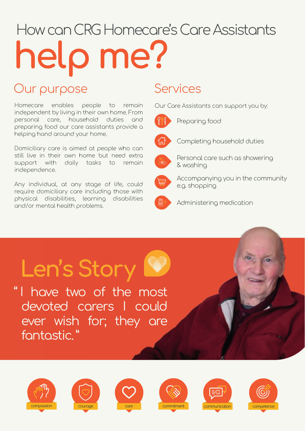## How can CRG Homecare's Care Assistants help me?

### Our purpose Services

Homecare enables people to remain independent by living in their own home. From personal care, household duties and preparing food our care assistants provide a helping hand around your home.

Domiciliary care is aimed at people who can still live in their own home but need extra support with daily tasks to remain independence.

Any individual, at any stage of life, could require domiciliary care including those with physical disabilities, learning disabilities and/or mental health problems.

Our Care Assistants can support you by:



Preparing food



Completing household duties



Personal care such as showering & washing



Accompanying you in the community e.g. shopping



Administering medication

### Len's Story 1

" I have two of the most devoted carers I could ever wish for; they are fantastic. "